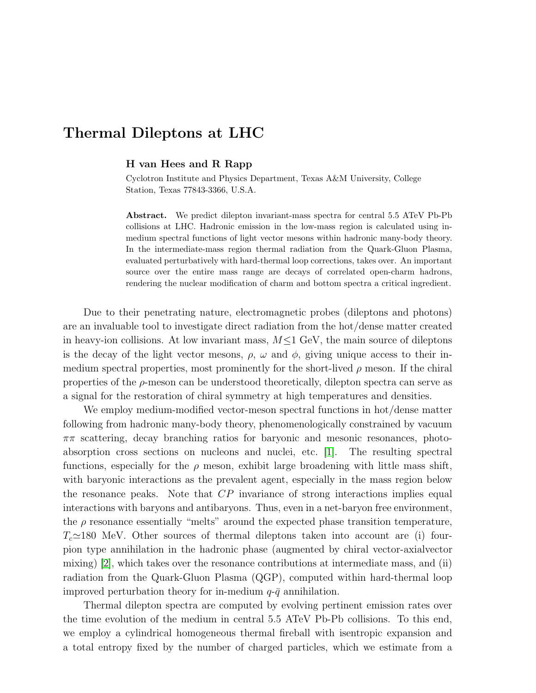## Thermal Dileptons at LHC

## H van Hees and R Rapp

Cyclotron Institute and Physics Department, Texas A&M University, College Station, Texas 77843-3366, U.S.A.

Abstract. We predict dilepton invariant-mass spectra for central 5.5 ATeV Pb-Pb collisions at LHC. Hadronic emission in the low-mass region is calculated using inmedium spectral functions of light vector mesons within hadronic many-body theory. In the intermediate-mass region thermal radiation from the Quark-Gluon Plasma, evaluated perturbatively with hard-thermal loop corrections, takes over. An important source over the entire mass range are decays of correlated open-charm hadrons, rendering the nuclear modification of charm and bottom spectra a critical ingredient.

Due to their penetrating nature, electromagnetic probes (dileptons and photons) are an invaluable tool to investigate direct radiation from the hot/dense matter created in heavy-ion collisions. At low invariant mass,  $M \leq 1$  GeV, the main source of dileptons is the decay of the light vector mesons,  $\rho$ ,  $\omega$  and  $\phi$ , giving unique access to their inmedium spectral properties, most prominently for the short-lived  $\rho$  meson. If the chiral properties of the  $\rho$ -meson can be understood theoretically, dilepton spectra can serve as a signal for the restoration of chiral symmetry at high temperatures and densities.

We employ medium-modified vector-meson spectral functions in hot/dense matter following from hadronic many-body theory, phenomenologically constrained by vacuum  $\pi\pi$  scattering, decay branching ratios for baryonic and mesonic resonances, photoabsorption cross sections on nucleons and nuclei, etc. [\[1\]](#page-1-0). The resulting spectral functions, especially for the  $\rho$  meson, exhibit large broadening with little mass shift, with baryonic interactions as the prevalent agent, especially in the mass region below the resonance peaks. Note that CP invariance of strong interactions implies equal interactions with baryons and antibaryons. Thus, even in a net-baryon free environment, the  $\rho$  resonance essentially "melts" around the expected phase transition temperature,  $T_c \approx 180$  MeV. Other sources of thermal dileptons taken into account are (i) fourpion type annihilation in the hadronic phase (augmented by chiral vector-axialvector mixing) [\[2\]](#page-1-1), which takes over the resonance contributions at intermediate mass, and (ii) radiation from the Quark-Gluon Plasma (QGP), computed within hard-thermal loop improved perturbation theory for in-medium  $q-\bar{q}$  annihilation.

Thermal dilepton spectra are computed by evolving pertinent emission rates over the time evolution of the medium in central 5.5 ATeV Pb-Pb collisions. To this end, we employ a cylindrical homogeneous thermal fireball with isentropic expansion and a total entropy fixed by the number of charged particles, which we estimate from a